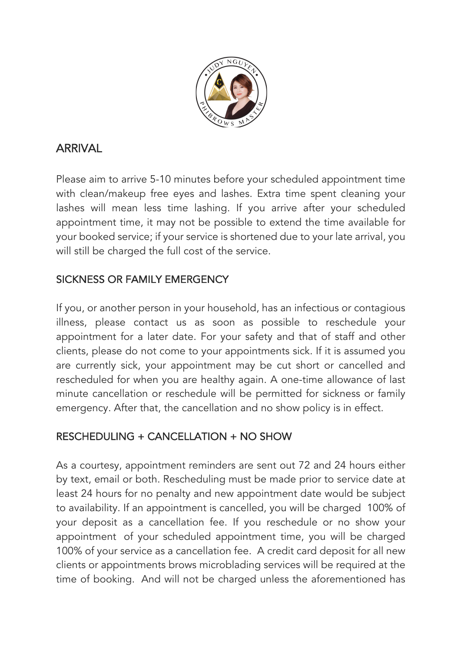

# ARRIVAL

Please aim to arrive 5-10 minutes before your scheduled appointment time with clean/makeup free eyes and lashes. Extra time spent cleaning your lashes will mean less time lashing. If you arrive after your scheduled appointment time, it may not be possible to extend the time available for your booked service; if your service is shortened due to your late arrival, you will still be charged the full cost of the service.

# SICKNESS OR FAMILY EMERGENCY

If you, or another person in your household, has an infectious or contagious illness, please contact us as soon as possible to reschedule your appointment for a later date. For your safety and that of staff and other clients, please do not come to your appointments sick. If it is assumed you are currently sick, your appointment may be cut short or cancelled and rescheduled for when you are healthy again. A one-time allowance of last minute cancellation or reschedule will be permitted for sickness or family emergency. After that, the cancellation and no show policy is in effect.

## RESCHEDULING + CANCELLATION + NO SHOW

As a courtesy, appointment reminders are sent out 72 and 24 hours either by text, email or both. Rescheduling must be made prior to service date at least 24 hours for no penalty and new appointment date would be subject to availability. If an appointment is cancelled, you will be charged 100% of your deposit as a cancellation fee. If you reschedule or no show your appointment of your scheduled appointment time, you will be charged 100% of your service as a cancellation fee. A credit card deposit for all new clients or appointments brows microblading services will be required at the time of booking. And will not be charged unless the aforementioned has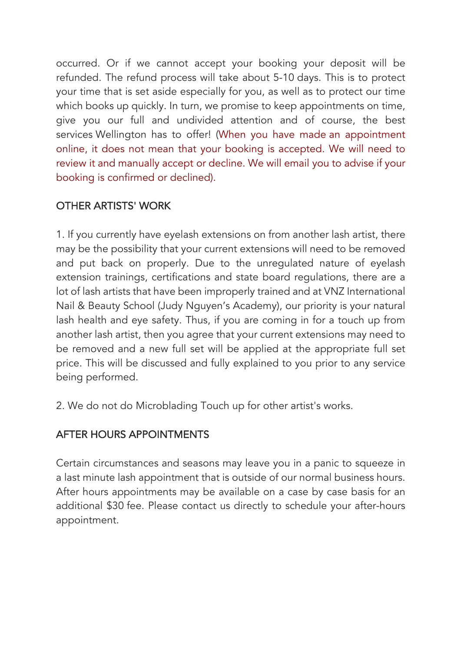occurred. Or if we cannot accept your booking your deposit will be refunded. The refund process will take about 5-10 days. This is to protect your time that is set aside especially for you, as well as to protect our time which books up quickly. In turn, we promise to keep appointments on time, give you our full and undivided attention and of course, the best services Wellington has to offer! (When you have made an appointment online, it does not mean that your booking is accepted. We will need to review it and manually accept or decline. We will email you to advise if your booking is confirmed or declined).

## OTHER ARTISTS' WORK

1. If you currently have eyelash extensions on from another lash artist, there may be the possibility that your current extensions will need to be removed and put back on properly. Due to the unregulated nature of eyelash extension trainings, certifications and state board regulations, there are a lot of lash artists that have been improperly trained and at VNZ International Nail & Beauty School (Judy Nguyen's Academy), our priority is your natural lash health and eye safety. Thus, if you are coming in for a touch up from another lash artist, then you agree that your current extensions may need to be removed and a new full set will be applied at the appropriate full set price. This will be discussed and fully explained to you prior to any service being performed.

2. We do not do Microblading Touch up for other artist's works.

## AFTER HOURS APPOINTMENTS

Certain circumstances and seasons may leave you in a panic to squeeze in a last minute lash appointment that is outside of our normal business hours. After hours appointments may be available on a case by case basis for an additional \$30 fee. Please contact us directly to schedule your after-hours appointment.